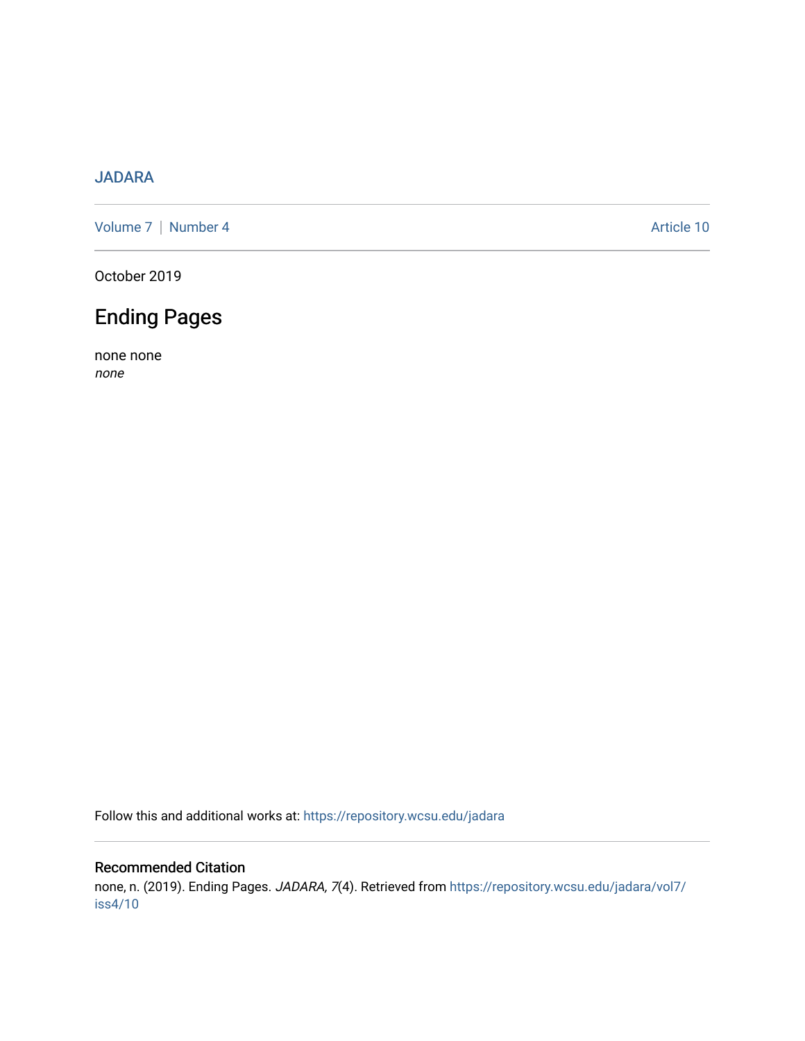## [JADARA](https://repository.wcsu.edu/jadara)

[Volume 7](https://repository.wcsu.edu/jadara/vol7) | [Number 4](https://repository.wcsu.edu/jadara/vol7/iss4) Article 10

October 2019

# Ending Pages

none none none

Follow this and additional works at: [https://repository.wcsu.edu/jadara](https://repository.wcsu.edu/jadara?utm_source=repository.wcsu.edu%2Fjadara%2Fvol7%2Fiss4%2F10&utm_medium=PDF&utm_campaign=PDFCoverPages)

### Recommended Citation

none, n. (2019). Ending Pages. JADARA, 7(4). Retrieved from [https://repository.wcsu.edu/jadara/vol7/](https://repository.wcsu.edu/jadara/vol7/iss4/10?utm_source=repository.wcsu.edu%2Fjadara%2Fvol7%2Fiss4%2F10&utm_medium=PDF&utm_campaign=PDFCoverPages) [iss4/10](https://repository.wcsu.edu/jadara/vol7/iss4/10?utm_source=repository.wcsu.edu%2Fjadara%2Fvol7%2Fiss4%2F10&utm_medium=PDF&utm_campaign=PDFCoverPages)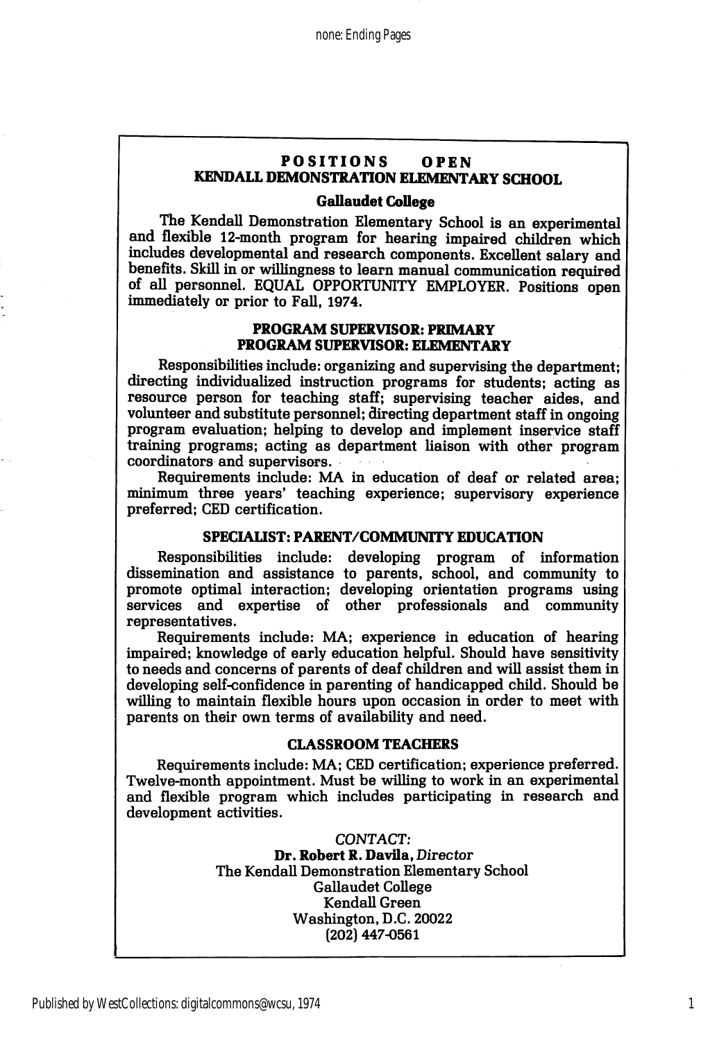#### POSITIONS OPEN KENDALL DEMONSTRATION ELEMENTARY SCHOOL

#### Gallaudet CoUege

The Kendall Demonstration Elementary School is an experimental and flexible 12-month program for hearing impaired children which includes developmental and research components. Excellent salary and benefits. Skill in or willingness to learn manual communication required of all personnel. EQUAL OPPORTUNITY EMPLOYER. Positions open immediately or prior to Fall, 1974.

#### PROGRAM SUPERVISOR: PRIMARY PROGRAM SUPERVISOR: ELEMENTARY

Responsibilities include: organizing and supervising the department; directing individualized instruction programs for students; acting as resource person for teaching staff; supervising teacher aides, and volunteer and substitute personnel; directing department staff in ongoing program evaluation; helping to develop and implement inservice staff training programs; acting as department liaison with other program coordinators and supervisors.

Requirements include: MA in education of deaf or related area; minimum three years' teaching experience; supervisory experience preferred; CED certification.

#### SPECIAUST: PARENT/COMMUNITY EDUCATION

Responsibilities include: developing program of information dissemination and assistance to parents, school, and community to promote optimal interaction; developing orientation programs using services and expertise of other professionals and community representatives.

Requirements include: MA; experience in education of hearing impaired; knowledge of early education helpful. Should have sensitivity to needs and concerns of parents of deaf children and will assist them in developing self-confidence in parenting of handicapped child. Should be willing to maintain flexible hours upon occasion in order to meet with parents on their own terms of availability and need.

#### CLASSROOM TEACHERS

Requirements include: MA; CED certification; experience preferred. Twelve-month appointment. Must be willing to work in an experimental and flexible program which includes participating in research and development activities.

> CONTACT; Dr. Robert R. Davila, Director The Kendall Demonstration Elementary School Gallaudet College KendaU Green Washington, D.C. 20022 (202) 447-0561